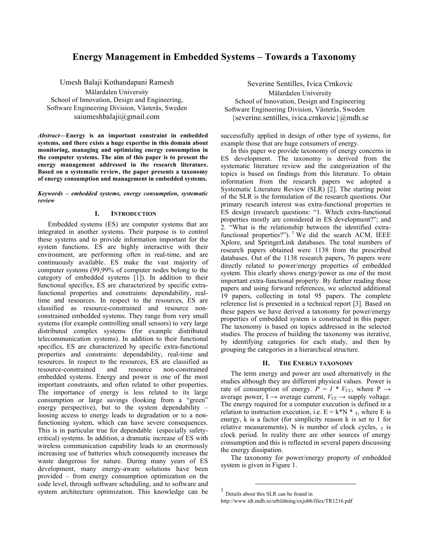# **Energy Management in Embedded Systems – Towards a Taxonomy**

Umesh Balaji Kothandapani Ramesh Mälardalen University School of Innovation, Design and Engineering, Software Engineering Division, Västerås, Sweden saiumeshbalaji@gmail.com

*Abstract***—Energy is an important constraint in embedded systems, and there exists a huge expertise in this domain about monitoring, managing and optimizing energy consumption in the computer systems. The aim of this paper is to present the energy management addressed in the research literature. Based on a systematic review, the paper presents a taxonomy of energy consumption and management in embedded systems.**

*Keywords – embedded systems, energy consumption, systematic review*

### **I. INTRODUCTION**

Embedded systems (ES) are computer systems that are integrated in another systems. Their purpose is to control these systems and to provide information important for the system functions. ES are highly interactive with their environment, are performing often in real-time, and are continuously available. ES make the vast majority of computer systems (99,99% of computer nodes belong to the category of embedded systems [1]). In addition to their functional specifics, ES are characterized by specific extrafunctional properties and constraints: dependability, realtime and resources. In respect to the resources, ES are classified as resource-constrained and resource nonconstrained embedded systems. They range from very small systems (for example controlling small sensors) to very large distributed complex systems (for example distributed telecommunication systems). In addition to their functional specifics, ES are characterized by specific extra-functional properties and constraints: dependability, real-time and resources. In respect to the resources, ES are classified as resource-constrained and resource non-constrained embedded systems. Energy and power is one of the most important constraints, and often related to other properties. The importance of energy is less related to its large consumption or large savings (looking from a "green" energy perspective), but to the system dependability – loosing access to energy leads to degradation or to a nonfunctioning system, which can have severe consequences. This is in particular true for dependable (especially safetycritical) systems. In addition, a dramatic increase of ES with wireless communication capability leads to an enormously increasing use of batteries which consequently increases the waste dangerous for nature. During many years of ES development, many energy-aware solutions have been provided – from energy consumption optimization on the code level, through software scheduling, and to software and system architecture optimization. This knowledge can be

Severine Sentilles, Ivica Crnkovic Mälardalen University School of Innovation, Design and Engineering Software Engineering Division, Västerås, Sweden {severine.sentilles, ivica.crnkovic}@mdh.se

successfully applied in design of other type of systems, for example those that are huge consumers of energy.

In this paper we provide taxonomy of energy concerns in ES development. The taxonomy is derived from the systematic literature review and the categorization of the topics is based on findings from this literature. To obtain information from the research papers we adopted a Systematic Literature Review (SLR) [2]. The starting point of the SLR is the formulation of the research questions. Our primary research interest was extra-functional properties in ES design (research questions: "1. Which extra-functional properties mostly are considered in ES development?"; and 2. "What is the relationship between the identified extrafunctional properties?"). <sup>1</sup> We did the search ACM, IEEE Xplore, and SpringerLink databases. The total numbers of research papers obtained were 1138 from the prescribed databases. Out of the 1138 research papers, 76 papers were directly related to power/energy properties of embedded system. This clearly shows energy/power as one of the most important extra-functional property. By further reading those papers and using forward references, we selected additional 19 papers, collecting in total 95 papers. The complete reference list is presented in a technical report [3]. Based on these papers we have derived a taxonomy for power/energy properties of embedded system is constructed in this paper. The taxonomy is based on topics addressed in the selected studies. The process of building the taxonomy was iterative, by identifying categories for each study, and then by grouping the categories in a hierarchical structure.

#### **II. THE ENERGY TAXONOMY**

The term energy and power are used alternatively in the studies although they are different physical values. Power is rate of consumption of energy.  $\vec{P} = I * V_{CC}$ , where P  $\rightarrow$ average power,  $I \rightarrow$  average current,  $V_{\text{CC}} \rightarrow$  supply voltage. The energy required for a computer execution is defined in a relation to instruction execution, i.e.  $E = k^*N^*$ , where E is energy, k is a factor (for simplicity reason k is set to 1 for relative measurements), N is number of clock cycles,  $_T$  is clock period. In reality there are other sources of energy consumption and this is reflected in several papers discussing the energy dissipation.

The taxonomy for power/energy property of embedded system is given in Figure 1.

1 Details about this SLR can be found in

http://www.idt.mdh.se/utbildning/exjobb/files/TR1216.pdf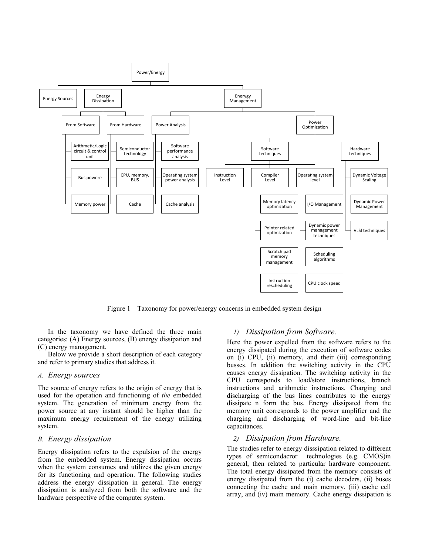

Figure 1 – Taxonomy for power/energy concerns in embedded system design

In the taxonomy we have defined the three main categories: (A) Energy sources, (B) energy dissipation and (C) energy management.

Below we provide a short description of each category and refer to primary studies that address it.

### *A. Energy sources*

The source of energy refers to the origin of energy that is used for the operation and functioning of *the* embedded system. The generation of minimum energy from the power source at any instant should be higher than the maximum energy requirement of the energy utilizing system.

## *B. Energy dissipation*

Energy dissipation refers to the expulsion of the energy from the embedded system. Energy dissipation occurs when the system consumes and utilizes the given energy for its functioning and operation. The following studies address the energy dissipation in general. The energy dissipation is analyzed from both the software and the hardware perspective of the computer system.

# *1) Dissipation from Software.*

Here the power expelled from the software refers to the energy dissipated during the execution of software codes on (i) CPU, (ii) memory, and their (iii) corresponding busses. In addition the switching activity in the CPU causes energy dissipation. The switching activity in the CPU corresponds to load/store instructions, branch instructions and arithmetic instructions. Charging and discharging of the bus lines contributes to the energy dissipate n form the bus. Energy dissipated from the memory unit corresponds to the power amplifier and the charging and discharging of word-line and bit-line capacitances.

# *2) Dissipation from Hardware.*

The studies refer to energy disssipation related to different types of semicondacror technologies (e.g. CMOS)in general, then related to particular hardware component. The total energy dissipated from the memory consists of energy dissipated from the (i) cache decoders, (ii) buses connecting the cache and main memory, (iii) cache cell array, and (iv) main memory. Cache energy dissipation is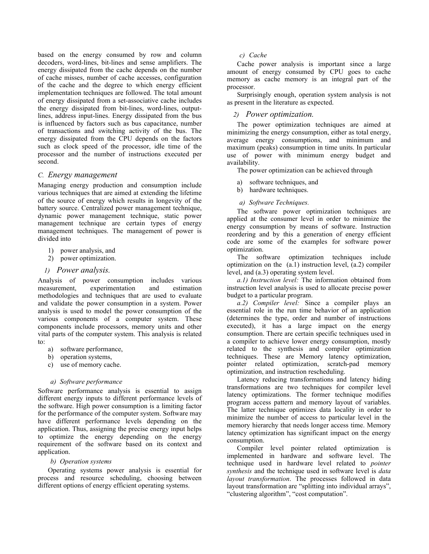based on the energy consumed by row and column decoders, word-lines, bit-lines and sense amplifiers. The energy dissipated from the cache depends on the number of cache misses, number of cache accesses, configuration of the cache and the degree to which energy efficient implementation techniques are followed. The total amount of energy dissipated from a set-associative cache includes the energy dissipated from bit-lines, word-lines, outputlines, address input-lines. Energy dissipated from the bus is influenced by factors such as bus capacitance, number of transactions and switching activity of the bus. The energy dissipated from the CPU depends on the factors such as clock speed of the processor, idle time of the processor and the number of instructions executed per second.

# *C. Energy management*

Managing energy production and consumption include various techniques that are aimed at extending the lifetime of the source of energy which results in longevity of the battery source. Centralized power management technique, dynamic power management technique, static power management technique are certain types of energy management techniques. The management of power is divided into

- 1) power analysis, and
- 2) power optimization.

# *1) Power analysis.*

Analysis of power consumption includes various measurement, experimentation and estimation methodologies and techniques that are used to evaluate and validate the power consumption in a system. Power analysis is used to model the power consumption of the various components of a computer system. These components include processors, memory units and other vital parts of the computer system. This analysis is related to:

- a) software performance,
- b) operation systems,
- c) use of memory cache.

### *a) Software performance*

Software performance analysis is essential to assign different energy inputs to different performance levels of the software. High power consumption is a limiting factor for the performance of the computer system. Software may have different performance levels depending on the application. Thus, assigning the precise energy input helps to optimize the energy depending on the energy requirement of the software based on its context and application.

### *b) Operation systems*

Operating systems power analysis is essential for process and resource scheduling, choosing between different options of energy efficient operating systems.

### *c) Cache*

Cache power analysis is important since a large amount of energy consumed by CPU goes to cache memory as cache memory is an integral part of the processor.

Surprisingly enough, operation system analysis is not as present in the literature as expected.

## *2) Power optimization.*

The power optimization techniques are aimed at minimizing the energy consumption, either as total energy, average energy consumptions, and minimum and maximum (peaks) consumption in time units. In particular use of power with minimum energy budget and availability.

The power optimization can be achieved through

- a) software techniques, and
- b) hardware techniques.
- *a) Software Techniques.*

The software power optimization techniques are applied at the consumer level in order to minimize the energy consumption by means of software. Instruction reordering and by this a generation of energy efficient code are some of the examples for software power optimization.

The software optimization techniques include optimization on the  $(a,1)$  instruction level,  $(a.2)$  compiler level, and (a.3) operating system level.

*a.1) Instruction level:* The information obtained from instruction level analysis is used to allocate precise power budget to a particular program.

*a.2) Compiler level:* Since a compiler plays an essential role in the run time behavior of an application (determines the type, order and number of instructions executed), it has a large impact on the energy consumption. There are certain specific techniques used in a compiler to achieve lower energy consumption, mostly related to the synthesis and compiler optimization techniques. These are Memory latency optimization, pointer related optimization, scratch-pad memory optimization, and instruction rescheduling.

Latency reducing transformations and latency hiding transformations are two techniques for compiler level latency optimizations. The former technique modifies program access pattern and memory layout of variables. The latter technique optimizes data locality in order to minimize the number of access to particular level in the memory hierarchy that needs longer access time. Memory latency optimization has significant impact on the energy consumption.

Compiler level pointer related optimization is implemented in hardware and software level. The technique used in hardware level related to *pointer synthesis* and the technique used in software level is *data layout transformation*. The processes followed in data layout transformation are "splitting into individual arrays", "clustering algorithm", "cost computation".